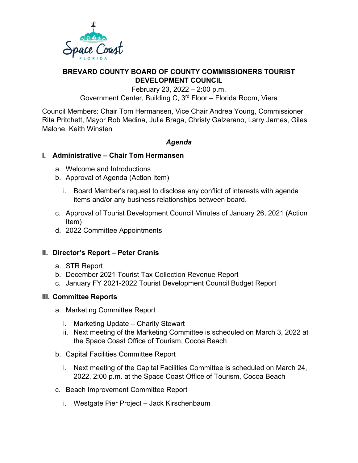

# **BREVARD COUNTY BOARD OF COUNTY COMMISSIONERS TOURIST DEVELOPMENT COUNCIL**

February 23, 2022 – 2:00 p.m. Government Center, Building C, 3rd Floor – Florida Room, Viera

Council Members: Chair Tom Hermansen, Vice Chair Andrea Young, Commissioner Rita Pritchett, Mayor Rob Medina, Julie Braga, Christy Galzerano, Larry Jarnes, Giles Malone, Keith Winsten

## *Agenda*

## **I. Administrative – Chair Tom Hermansen**

- a. Welcome and Introductions
- b. Approval of Agenda (Action Item)
	- i. Board Member's request to disclose any conflict of interests with agenda items and/or any business relationships between board.
- c. Approval of Tourist Development Council Minutes of January 26, 2021 (Action Item)
- d. 2022 Committee Appointments

## **II. Director's Report – Peter Cranis**

- a. STR Report
- b. December 2021 Tourist Tax Collection Revenue Report
- c. January FY 2021-2022 Tourist Development Council Budget Report

## **III. Committee Reports**

- a. Marketing Committee Report
	- i. Marketing Update Charity Stewart
	- ii. Next meeting of the Marketing Committee is scheduled on March 3, 2022 at the Space Coast Office of Tourism, Cocoa Beach
- b. Capital Facilities Committee Report
	- i. Next meeting of the Capital Facilities Committee is scheduled on March 24, 2022, 2:00 p.m. at the Space Coast Office of Tourism, Cocoa Beach
- c. Beach Improvement Committee Report
	- i. Westgate Pier Project Jack Kirschenbaum